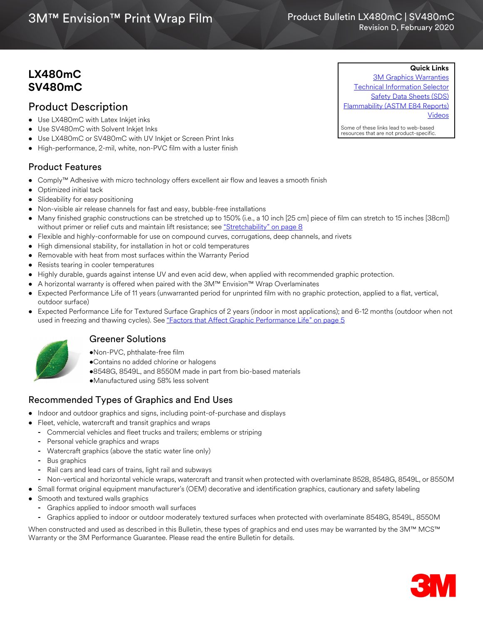# 3M™ Envision™ Print Wrap Film

# **LX480mC SV480mC**

# Product Description

- Use LX480mC with Latex Inkjet inks
- Use SV480mC with Solvent Inkjet Inks
- Use LX480mC or SV480mC with UV Inkjet or Screen Print Inks
- High-performance, 2-mil, white, non-PVC film with a luster finish

# Product Features

- Comply™ Adhesive with micro technology offers excellent air flow and leaves a smooth finish
- Optimized initial tack
- Slideability for easy positioning
- Non-visible air release channels for fast and easy, bubble-free installations
- Many finished graphic constructions can be stretched up to 150% (i.e., a 10 inch [25 cm] piece of film can stretch to 15 inches [38cm]) without primer or relief cuts and maintain lift resistance; see ["Stretchability" on page 8](#page-7-0)
- Flexible and highly-conformable for use on compound curves, corrugations, deep channels, and rivets
- High dimensional stability, for installation in hot or cold temperatures
- Removable with heat from most surfaces within the Warranty Period
- Resists tearing in cooler temperatures
- Highly durable, guards against intense UV and even acid dew, when applied with recommended graphic protection.
- A horizontal warranty is offered when paired with the 3M™ Envision™ Wrap Overlaminates
- Expected Performance Life of 11 years (unwarranted period for unprinted film with no graphic protection, applied to a flat, vertical, outdoor surface)
- Expected Performance Life for Textured Surface Graphics of 2 years (indoor in most applications); and 6-12 months (outdoor when not used in freezing and thawing cycles). See ["Factors that Affect Graphic Performance Life" on page 5](#page-4-0)



# Greener Solutions

- •Non-PVC, phthalate-free film
- •Contains no added chlorine or halogens
- •8548G, 8549L, and 8550M made in part from bio-based materials
- •Manufactured using 58% less solvent

# Recommended Types of Graphics and End Uses

- Indoor and outdoor graphics and signs, including point-of-purchase and displays
- Fleet, vehicle, watercraft and transit graphics and wraps
	- **-** Commercial vehicles and fleet trucks and trailers; emblems or striping
	- **-** Personal vehicle graphics and wraps
	- **-** Watercraft graphics (above the static water line only)
	- **-** Bus graphics
	- **-** Rail cars and lead cars of trains, light rail and subways
- **-** Non-vertical and horizontal vehicle wraps, watercraft and transit when protected with overlaminate 8528, 8548G, 8549L, or 8550M
- Small format original equipment manufacturer's (OEM) decorative and identification graphics, cautionary and safety labeling
- Smooth and textured walls graphics
	- **-** Graphics applied to indoor smooth wall surfaces
	- **-** Graphics applied to indoor or outdoor moderately textured surfaces when protected with overlaminate 8548G, 8549L, 8550M

When constructed and used as described in this Bulletin, these types of graphics and end uses may be warranted by the 3M™ MCS™ Warranty or the 3M Performance Guarantee. Please read the entire Bulletin for details.



**Quick Links** [3M Graphics Warranties](http://solutions.3m.com/wps/portal/3M/en_US/Graphics/3Mgraphics/ToolsandSupport/Warranties/?WT.mc_id=www.3mgraphics.com/warranties) [Technical Information Selector](http://solutions.3m.com/wps/portal/3M/en_US/Graphics/3Mgraphics/ToolsAndSupport/TechnicalInformation/) [Safety Data Sheets \(SDS\)](http://solutions.3m.com/wps/portal/3M/en_WW/MSDS/Search?gsaAction=msdsSRA) [Flammability \(ASTM E84 Reports\)](#page-2-0) [Videos](http://solutions.3m.com/wps/portal/3M/en_US/Graphics/3Mgraphics/ToolsAndSupport/Videos/)

Some of these links lead to web-based resources that are not product-specific.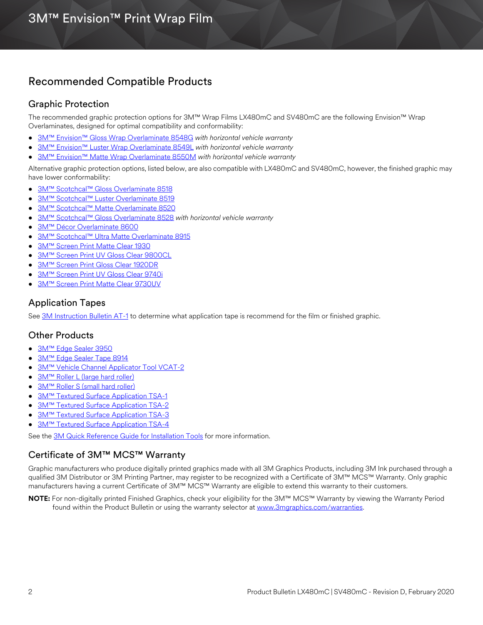# Recommended Compatible Products

# Graphic Protection

The recommended graphic protection options for 3M™ Wrap Films LX480mC and SV480mC are the following Envision™ Wrap Overlaminates, designed for optimal compatibility and conformability:

- [3M™ Envision™ Gloss Wrap Overlaminate 8548G](http://multimedia.3m.com/mws/media/558531O/product-bulletin-gp-1.pdf) *with horizontal vehicle warranty*
- [3M™ Envision™ Luster Wrap Overlaminate 8549L](http://multimedia.3m.com/mws/media/558531O/product-bulletin-gp-1.pdf) *with horizontal vehicle warranty*
- [3M™ Envision™ Matte Wrap Overlaminate 8550M](http://multimedia.3m.com/mws/media/558531O/product-bulletin-gp-1.pdf) *with horizontal vehicle warranty*

[Alternative graphic protection options, listed below, are also compatible with LX480mC and SV480mC, however, the finished graphic may](http://multimedia.3m.com/mws/media/1095387O/3m-scotchcal-overlaminate-product-bulletin.pdf)  have lower conformability:

- 3M™ Scotchcal™ Gloss Overlaminate 8518
- [3M™ Scotchcal™ Luster Overlaminate 8519](http://multimedia.3m.com/mws/media/1095387O/3m-scotchcal-overlaminate-product-bulletin.pdf)
- [3M™ Scotchcal™ Matte Overlaminate 8520](http://multimedia.3m.com/mws/media/1095387O/3m-scotchcal-overlaminate-product-bulletin.pdf)
- [3M™ Scotchcal™ Gloss Overlaminate 8528](http://multimedia.3m.com/mws/media/1095387O/3m-scotchcal-overlaminate-product-bulletin.pdf) *with horizontal vehicle warranty*
- 3M™ Décor Overlaminate 8600
- [3M™ Scotchcal™ Ultra Matte Overlaminate 8915](http://multimedia.3m.com/mws/media/1095387O/3m-scotchcal-overlaminate-product-bulletin.pdf)
- [3M™ Screen Print Matte Clear 1930](http://multimedia.3m.com/mws/media/12348O/1900-solvent-screen-print-ink-line-and-four-color-clears.pdf)
- [3M™ Screen Print UV Gloss Clear 9800CL](http://multimedia.3m.com/mws/media/381379O/9800-uv-screen-print-ink-line-and-four-color-clears.pdf)
- [3M™ Screen Print Gloss Clear 1920DR](http://multimedia.3m.com/mws/media/12348O/1900-solvent-screen-print-ink-line-and-four-color-clears.pdf)
- [3M™ Screen Print UV Gloss Clear 9740i](https://multimedia.3m.com/mws/media/788729O/uv-clear-inkjet-and-screen-print.pdf)
- [3M™ Screen Print Matte Clear 9730UV](https://multimedia.3m.com/mws/media/788729O/uv-clear-inkjet-and-screen-print.pdf)

## Application Tapes

See [3M Instruction Bulletin AT-1](http://multimedia.3m.com/mws/media/1032943O/instruction-bulletin-at-1-application-tables.pdf) to determine what application tape is recommend for the film or finished graphic.

# Other Products

- [3M™ Edge Sealer 3950](http://multimedia.3m.com/mws/media/114158O/edge-sealer-3950-4150s-and-edge-sealer-tape-8914.pdf)
- [3M™ Edge Sealer Tape 8914](http://multimedia.3m.com/mws/media/114158O/edge-sealer-3950-4150s-and-edge-sealer-tape-8914.pdf)
- [3M™ Vehicle Channel Applicator Tool VCAT-2](http://multimedia.3m.com/mws/media/471744O/vehicle-channel-applicator-tools-vcat-2-roller-l-roller-s.pdf)
- [3M™ Roller L \(large hard roller\)](http://multimedia.3m.com/mws/media/471744O/vehicle-channel-applicator-tools-vcat-2-roller-l-roller-s.pdf)
- [3M™ Roller S \(small hard roller\)](http://multimedia.3m.com/mws/media/471744O/vehicle-channel-applicator-tools-vcat-2-roller-l-roller-s.pdf)
- **[3M™ Textured Surface Application TSA-1](https://multimedia.3m.com/mws/media/443719O/applicators-for-textured-surfaces.pdf)**
- **[3M™ Textured Surface Application TSA-2](https://multimedia.3m.com/mws/media/443719O/applicators-for-textured-surfaces.pdf)**
- [3M™ Textured Surface Application TSA-3](https://multimedia.3m.com/mws/media/443719O/applicators-for-textured-surfaces.pdf)
- [3M™ Textured Surface Application TSA-4](https://multimedia.3m.com/mws/media/443719O/applicators-for-textured-surfaces.pdf)

See the [3M Quick Reference Guide for Installation Tools](http://multimedia.3m.com/mws/media/1253928O/quick-reference-guide-film-installation-tools.pdf) for more information.

# Certificate of 3M™ MCS™ Warranty

Graphic manufacturers who produce digitally printed graphics made with all 3M Graphics Products, including 3M Ink purchased through a qualified 3M Distributor or 3M Printing Partner, may register to be recognized with a Certificate of 3M™ MCS™ Warranty. Only graphic manufacturers having a current Certificate of 3M™ MCS™ Warranty are eligible to extend this warranty to their customers.

NOTE: For non-digitally printed Finished Graphics, check your eligibility for the 3M™ MCS™ Warranty by viewing the Warranty Period found within the Product Bulletin or using the warranty selector at [www.3mgraphics.com/warranties.](www.3mgraphics.com/warranties)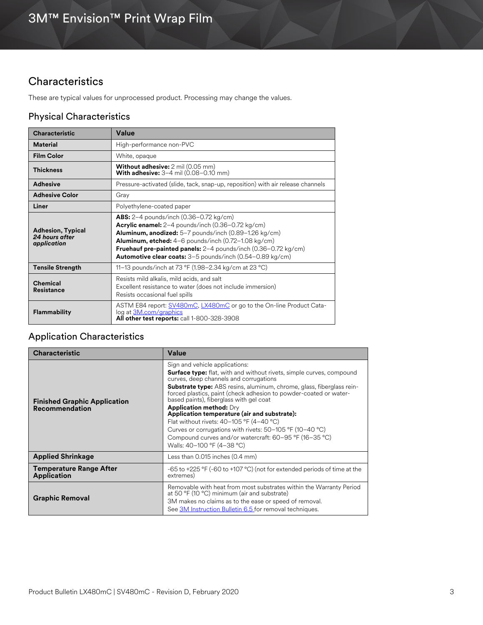# **Characteristics**

These are typical values for unprocessed product. Processing may change the values.

# <span id="page-2-0"></span>Physical Characteristics

| <b>Characteristic</b>                                     | Value                                                                                                                                                                                                                                                                                                                                                                                     |  |
|-----------------------------------------------------------|-------------------------------------------------------------------------------------------------------------------------------------------------------------------------------------------------------------------------------------------------------------------------------------------------------------------------------------------------------------------------------------------|--|
| Material                                                  | High-performance non-PVC                                                                                                                                                                                                                                                                                                                                                                  |  |
| <b>Film Color</b>                                         | White, opaque                                                                                                                                                                                                                                                                                                                                                                             |  |
| <b>Thickness</b>                                          | <b>Without adhesive:</b> 2 mil (0.05 mm)<br><b>With adhesive:</b> $3-4$ mil $(0.08-0.10$ mm)                                                                                                                                                                                                                                                                                              |  |
| <b>Adhesive</b>                                           | Pressure-activated (slide, tack, snap-up, reposition) with air release channels                                                                                                                                                                                                                                                                                                           |  |
| <b>Adhesive Color</b>                                     | Gray                                                                                                                                                                                                                                                                                                                                                                                      |  |
| Liner                                                     | Polyethylene-coated paper                                                                                                                                                                                                                                                                                                                                                                 |  |
| <b>Adhesion, Typical</b><br>24 hours after<br>application | <b>ABS:</b> $2-4$ pounds/inch $(0.36-0.72 \text{ kg/cm})$<br><b>Acrylic enamel:</b> $2-4$ pounds/inch $(0.36-0.72 \text{ kg/cm})$<br>Aluminum, anodized: 5-7 pounds/inch (0.89-1.26 kg/cm)<br><b>Aluminum, etched:</b> $4-6$ pounds/inch (0.72-1.08 kg/cm)<br>Fruehauf pre-painted panels: 2-4 pounds/inch (0.36-0.72 kg/cm)<br>Automotive clear coats: 3-5 pounds/inch (0.54-0.89 kg/cm) |  |
| <b>Tensile Strength</b>                                   | 11–13 pounds/inch at 73 °F (1.98–2.34 kg/cm at 23 °C)                                                                                                                                                                                                                                                                                                                                     |  |
| Chemical<br><b>Resistance</b>                             | Resists mild alkalis, mild acids, and salt<br>Excellent resistance to water (does not include immersion)<br>Resists occasional fuel spills                                                                                                                                                                                                                                                |  |
| <b>Flammability</b>                                       | ASTM E84 report: SV480mC, LX480mC or go to the On-line Product Cata-<br>log at 3M.com/graphics<br>All other test reports: call 1-800-328-3908                                                                                                                                                                                                                                             |  |

# Application Characteristics

| <b>Characteristic</b>                                 | Value                                                                                                                                                                                                                                                                                                                                                                                                                                                                                                                                                                                                                                       |
|-------------------------------------------------------|---------------------------------------------------------------------------------------------------------------------------------------------------------------------------------------------------------------------------------------------------------------------------------------------------------------------------------------------------------------------------------------------------------------------------------------------------------------------------------------------------------------------------------------------------------------------------------------------------------------------------------------------|
| <b>Finished Graphic Application</b><br>Recommendation | Sign and vehicle applications:<br><b>Surface type:</b> flat, with and without rivets, simple curves, compound<br>curves, deep channels and corrugations<br><b>Substrate type:</b> ABS resins, aluminum, chrome, glass, fiberglass rein-<br>forced plastics, paint (check adhesion to powder-coated or water-<br>based paints), fiberglass with gel coat<br><b>Application method: Dry</b><br>Application temperature (air and substrate):<br>Flat without rivets: $40-105$ °F (4-40 °C)<br>Curves or corrugations with rivets: 50-105 °F (10-40 °C)<br>Compound curves and/or watercraft: 60-95 °F (16-35 °C)<br>Walls: 40-100 °F (4-38 °C) |
| <b>Applied Shrinkage</b>                              | Less than 0.015 inches (0.4 mm)                                                                                                                                                                                                                                                                                                                                                                                                                                                                                                                                                                                                             |
| <b>Temperature Range After</b><br><b>Application</b>  | -65 to +225 °F (-60 to +107 °C) (not for extended periods of time at the<br>extremes)                                                                                                                                                                                                                                                                                                                                                                                                                                                                                                                                                       |
| <b>Graphic Removal</b>                                | Removable with heat from most substrates within the Warranty Period<br>at 50 °F (10 °C) minimum (air and substrate)<br>3M makes no claims as to the ease or speed of removal.<br>See 3M Instruction Bulletin 6.5 for removal techniques.                                                                                                                                                                                                                                                                                                                                                                                                    |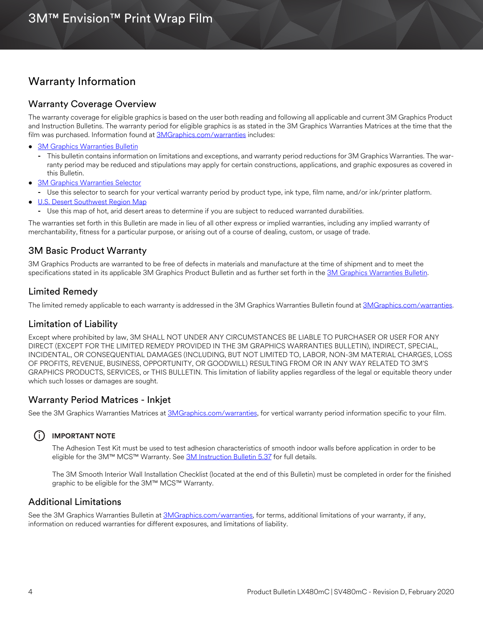# Warranty Information

## Warranty Coverage Overview

The warranty coverage for eligible graphics is based on the user both reading and following all applicable and current 3M Graphics Product and Instruction Bulletins. The warranty period for eligible graphics is as stated in the 3M Graphics Warranties Matrices at the time that the film was purchased. Information found at [3MGraphics.com/warranties](www.3mgraphics.com/warranties) includes:

- [3M Graphics Warranties Bulletin](http://multimedia.3m.com/mws/media/1034875O/3mtm-graphics-warranty-bulletin.pdf?fn=Warranty_Bulletin.pdf)
	- **-** This bulletin contains information on limitations and exceptions, and warranty period reductions for 3M Graphics Warranties. The warranty period may be reduced and stipulations may apply for certain constructions, applications, and graphic exposures as covered in this Bulletin.
- **[3M Graphics Warranties Selector](http://solutions.3m.com/wps/portal/3M/en_US/Graphics/3Mgraphics/ToolsAndSupport/Warranties/?PC_Z7_RJH9U5230GE3E02LECFTDQ02P3000000_assetType=MMM_Article&PC_Z7_RJH9U5230GE3E02LECFTDQ02P3000000_assetId=1114269959113&PC_Z7_RJH9U5230GE3E02LECFTDQ02P3000000_univid=1114269959113#Z7_RJH9U5230GE3E02LECFTDQ02P3)**
- **-** Use this selector to search for your vertical warranty period by product type, ink type, film name, and/or ink/printer platform.
- [U.S. Desert Southwest Region Map](http://multimedia.3m.com/mws/media/307873O/desert-southwest-region-defined.pdf?fn=Map_DSW.pdf)
	- **-** Use this map of hot, arid desert areas to determine if you are subject to reduced warranted durabilities.

The warranties set forth in this Bulletin are made in lieu of all other express or implied warranties, including any implied warranty of merchantability, fitness for a particular purpose, or arising out of a course of dealing, custom, or usage of trade.

# 3M Basic Product Warranty

3M Graphics Products are warranted to be free of defects in materials and manufacture at the time of shipment and to meet the specifications stated in its applicable 3M Graphics Product Bulletin and as further set forth in the [3M Graphics Warranties Bulletin.](http://multimedia.3m.com/mws/media/1034875O/3mtm-graphics-warranty-bulletin.pdf?fn=Warranty%20Bulletin.pdf)

## Limited Remedy

The limited remedy applicable to each warranty is addressed in the 3M Graphics Warranties Bulletin found at [3MGraphics.com/warranties](www.3mgraphics.com/warranties).

## Limitation of Liability

Except where prohibited by law, 3M SHALL NOT UNDER ANY CIRCUMSTANCES BE LIABLE TO PURCHASER OR USER FOR ANY DIRECT (EXCEPT FOR THE LIMITED REMEDY PROVIDED IN THE 3M GRAPHICS WARRANTIES BULLETIN), INDIRECT, SPECIAL, INCIDENTAL, OR CONSEQUENTIAL DAMAGES (INCLUDING, BUT NOT LIMITED TO, LABOR, NON-3M MATERIAL CHARGES, LOSS OF PROFITS, REVENUE, BUSINESS, OPPORTUNITY, OR GOODWILL) RESULTING FROM OR IN ANY WAY RELATED TO 3M'S GRAPHICS PRODUCTS, SERVICES, or THIS BULLETIN. This limitation of liability applies regardless of the legal or equitable theory under which such losses or damages are sought.

# Warranty Period Matrices - Inkjet

See the 3M Graphics Warranties Matrices at [3MGraphics.com/warranties,](http://solutions.3m.com/wps/portal/3M/en_US/Graphics/3Mgraphics/ToolsandSupport/Warranties/?WT.mc_id=www.3mgraphics.com/warranties) for vertical warranty period information specific to your film.

# i **IMPORTANT NOTE**

The Adhesion Test Kit must be used to test adhesion characteristics of smooth indoor walls before application in order to be eligible for the 3M™ MCS™ Warranty. See [3M Instruction Bulletin 5.37](http://multimedia.3m.com/mws/media/241610O/5-37-application-guide-to-smooth-and-textured-walls.pdf) for full details.

The 3M Smooth Interior Wall Installation Checklist (located at the end of this Bulletin) must be completed in order for the finished graphic to be eligible for the 3M™ MCS™ Warranty.

# Additional Limitations

See the 3M Graphics Warranties Bulletin at [3MGraphics.com/warranties](http://solutions.3m.com/wps/portal/3M/en_US/Graphics/3Mgraphics/ToolsandSupport/Warranties/?WT.mc_id=www.3mgraphics.com/warranties), for terms, additional limitations of your warranty, if any, information on reduced warranties for different exposures, and limitations of liability.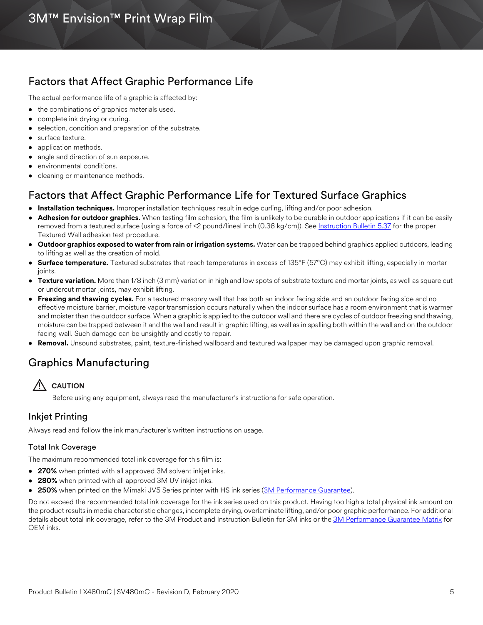# <span id="page-4-0"></span>Factors that Affect Graphic Performance Life

The actual performance life of a graphic is affected by:

- the combinations of graphics materials used.
- complete ink drying or curing.
- selection, condition and preparation of the substrate.
- surface texture.
- application methods.
- angle and direction of sun exposure.
- environmental conditions.
- cleaning or maintenance methods.

# Factors that Affect Graphic Performance Life for Textured Surface Graphics

- **Installation techniques.** Improper installation techniques result in edge curling, lifting and/or poor adhesion.
- **Adhesion for outdoor graphics.** When testing film adhesion, the film is unlikely to be durable in outdoor applications if it can be easily removed from a textured surface (using a force of <2 pound/lineal inch (0.36 kg/cm)). See [Instruction Bulletin 5.37](https://multimedia.3m.com/mws/media/241610O/5-37-application-guide-to-smooth-and-textured-walls.pdf) for the proper Textured Wall adhesion test procedure.
- **Outdoor graphics exposed to water from rain or irrigation systems.** Water can be trapped behind graphics applied outdoors, leading to lifting as well as the creation of mold.
- **Surface temperature.** Textured substrates that reach temperatures in excess of 135°F (57°C) may exhibit lifting, especially in mortar joints.
- **Texture variation.** More than 1/8 inch (3 mm) variation in high and low spots of substrate texture and mortar joints, as well as square cut or undercut mortar joints, may exhibit lifting.
- **Freezing and thawing cycles.** For a textured masonry wall that has both an indoor facing side and an outdoor facing side and no effective moisture barrier, moisture vapor transmission occurs naturally when the indoor surface has a room environment that is warmer and moister than the outdoor surface. When a graphic is applied to the outdoor wall and there are cycles of outdoor freezing and thawing, moisture can be trapped between it and the wall and result in graphic lifting, as well as in spalling both within the wall and on the outdoor facing wall. Such damage can be unsightly and costly to repair.
- **Removal.** Unsound substrates, paint, texture-finished wallboard and textured wallpaper may be damaged upon graphic removal.

# Graphics Manufacturing



Before using any equipment, always read the manufacturer's instructions for safe operation.

# Inkjet Printing

Always read and follow the ink manufacturer's written instructions on usage.

## Total Ink Coverage

The maximum recommended total ink coverage for this film is:

- **270%** when printed with all approved 3M solvent inkjet inks.
- **280%** when printed with all approved 3M UV inkjet inks.
- **250%** when printed on the Mimaki JV5 Series printer with HS ink series [\(3M Performance Guarantee\)](www.3mgraphics.com/warranties).

Do not exceed the recommended total ink coverage for the ink series used on this product. Having too high a total physical ink amount on the product results in media characteristic changes, incomplete drying, overlaminate lifting, and/or poor graphic performance. For additional details about total ink coverage, refer to the 3M Product and Instruction Bulletin for 3M inks or the [3M Performance Guarantee Matrix](www.3mgraphics.com/warranties) for OEM inks.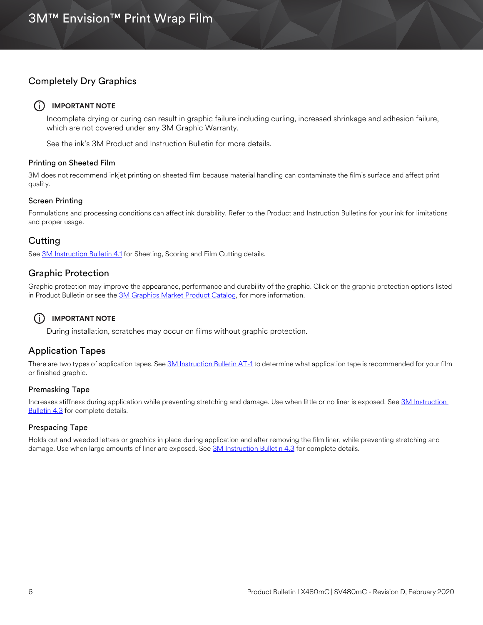# Completely Dry Graphics

## $(i)$  **IMPORTANT NOTE**

Incomplete drying or curing can result in graphic failure including curling, increased shrinkage and adhesion failure, which are not covered under any 3M Graphic Warranty.

See the ink's 3M Product and Instruction Bulletin for more details.

#### Printing on Sheeted Film

3M does not recommend inkjet printing on sheeted film because material handling can contaminate the film's surface and affect print quality.

#### Screen Printing

Formulations and processing conditions can affect ink durability. Refer to the Product and Instruction Bulletins for your ink for limitations and proper usage.

# **Cutting**

See [3M Instruction Bulletin 4.1](http://multimedia.3m.com/mws/media/12586O/4-1-scoring-and-cutting.pdf) for Sheeting, Scoring and Film Cutting details.

## Graphic Protection

Graphic protection may improve the appearance, performance and durability of the graphic. Click on the graphic protection options listed in Product Bulletin or see the [3M Graphics Market Product Catalog](http://multimedia.3m.com/mws/media/443279O/inkjet-catalog-lowres.pdf), for more information.

# i **IMPORTANT NOTE**

During installation, scratches may occur on films without graphic protection.

# Application Tapes

There are two types of application tapes. See [3M Instruction Bulletin AT-1](http://multimedia.3m.com/mws/media/1032943O/instruction-bulletin-at-1-application-tables.pdf) to determine what application tape is recommended for your film or finished graphic.

## Premasking Tape

Increases stiffness during application while preventing stretching and damage. Use when little or no liner is exposed. See 3M Instruction **Bulletin 4.3** for complete details.

## Prespacing Tape

Holds cut and weeded letters or graphics in place during application and after removing the film liner, while preventing stretching and damage. Use when large amounts of liner are exposed. See [3M Instruction Bulletin 4.3](http://multimedia.3m.com/mws/media/12587O/4-3-application-tapes-premasking-and-prespacing.pdf) for complete details.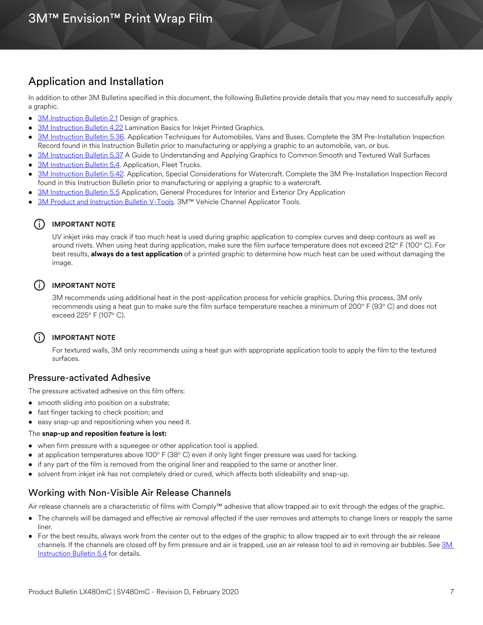# Application and Installation

In addition to other 3M Bulletins specified in this document, the following Bulletins provide details that you may need to successfully apply a graphic.

- [3M Instruction Bulletin 2.1](http://multimedia.3m.com/mws/media/12591O/2-1-design-of-graphics.pdf) Design of graphics.
- [3M Instruction Bulletin 4.22](http://multimedia.3m.com/mws/media/12768O/4-22-lamination-cold-roll.pdf) Lamination Basics for Inkjet Printed Graphics.
- [3M Instruction Bulletin 5.36](http://multimedia.3m.com/mws/media/100373O/5-36-application-techniques-for-automobiles-vans-and-buses.pdf). Application Techniques for Automobiles, Vans and Buses. Complete the 3M Pre-Installation Inspection Record found in this Instruction Bulletin prior to manufacturing or applying a graphic to an automobile, van, or bus.
- [3M Instruction Bulletin 5.37](http://multimedia.3m.com/mws/media/241610O/5-37-application-guide-to-smooth-and-textured-walls.pdf) A Guide to Understanding and Applying Graphics to Common Smooth and Textured Wall Surfaces
- [3M Instruction Bulletin 5.4.](http://multimedia.3m.com/mws/media/12597O/5-4-application-of-film-to-vehicles-special-applications.pdf) Application, Fleet Trucks.
- [3M Instruction Bulletin 5.42.](http://multimedia.3m.com/mws/media/503711O/application-special-considerations-for-watercraft.pdf) Application, Special Considerations for Watercraft. Complete the 3M Pre-Installation Inspection Record found in this Instruction Bulletin prior to manufacturing or applying a graphic to a watercraft.
- [3M Instruction Bulletin 5.5](http://multimedia.3m.com/mws/media/9620O/5-5-application-dry-method.pdf) Application, General Procedures for Interior and Exterior Dry Application
- [3M Product and Instruction Bulletin V-Tools](http://multimedia.3m.com/mws/media/471744O/vehicle-channel-applicator-tools-vcat-2-roller-l-roller-s.pdf). 3M™ Vehicle Channel Applicator Tools.

#### i **IMPORTANT NOTE**

UV inkjet inks may crack if too much heat is used during graphic application to complex curves and deep contours as well as around rivets. When using heat during application, make sure the film surface temperature does not exceed 212° F (100° C). For best results, **always do a test application** of a printed graphic to determine how much heat can be used without damaging the image.

## $(i)$  **IMPORTANT NOTE**

3M recommends using additional heat in the post-application process for vehicle graphics. During this process, 3M only recommends using a heat gun to make sure the film surface temperature reaches a minimum of 200° F (93° C) and does not exceed 225° F (107° C).

## i **IMPORTANT NOTE**

For textured walls, 3M only recommends using a heat gun with appropriate application tools to apply the film to the textured surfaces.

## Pressure-activated Adhesive

The pressure activated adhesive on this film offers:

- smooth sliding into position on a substrate;
- fast finger tacking to check position; and
- easy snap-up and repositioning when you need it.

#### The **snap-up and reposition feature is lost:**

- when firm pressure with a squeegee or other application tool is applied.
- at application temperatures above 100° F (38° C) even if only light finger pressure was used for tacking.
- if any part of the film is removed from the original liner and reapplied to the same or another liner.
- solvent from inkjet ink has not completely dried or cured, which affects both slideability and snap-up.

## Working with Non-Visible Air Release Channels

Air release channels are a characteristic of films with Comply™ adhesive that allow trapped air to exit through the edges of the graphic.

- The channels will be damaged and effective air removal affected if the user removes and attempts to change liners or reapply the same liner.
- For the best results, always work from the center out to the edges of the graphic to allow trapped air to exit through the air release channels. If the channels are closed off by firm pressure and air is trapped, use an air release tool to aid in removing air bubbles. See 3M [Instruction Bulletin 5.4](http://multimedia.3m.com/mws/media/12597O/5-4-application-of-film-to-vehicles-special-applications.pdf) for details.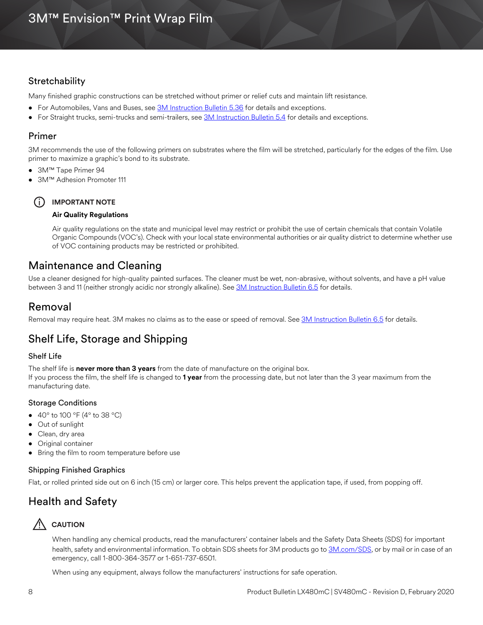# 3M™ Envision™ Print Wrap Film

# <span id="page-7-0"></span>**Stretchability**

Many finished graphic constructions can be stretched without primer or relief cuts and maintain lift resistance.

- For Automobiles, Vans and Buses, see **3M Instruction Bulletin 5.36** for details and exceptions.
- For Straight trucks, semi-trucks and semi-trailers, see [3M Instruction Bulletin 5.4](http://multimedia.3m.com/mws/media/12597O/5-4-application-of-film-to-vehicles-special-applications.pdf) for details and exceptions.

# Primer

3M recommends the use of the following primers on substrates where the film will be stretched, particularly for the edges of the film. Use primer to maximize a graphic's bond to its substrate.

- 3M™ Tape Primer 94
- 3M™ Adhesion Promoter 111

i **IMPORTANT NOTE**

## **Air Quality Regulations**

Air quality regulations on the state and municipal level may restrict or prohibit the use of certain chemicals that contain Volatile Organic Compounds (VOC's). Check with your local state environmental authorities or air quality district to determine whether use of VOC containing products may be restricted or prohibited.

# Maintenance and Cleaning

Use a cleaner designed for high-quality painted surfaces. The cleaner must be wet, non-abrasive, without solvents, and have a pH value between 3 and 11 (neither strongly acidic nor strongly alkaline). See [3M Instruction Bulletin 6.5](http://multimedia.3m.com/mws/media/12593O/6-5-storage-handling-maintenance-removal-of-films-sheetings.pdf) for details.

# Removal

Removal may require heat. 3M makes no claims as to the ease or speed of removal. See [3M Instruction Bulletin 6.5](http://multimedia.3m.com/mws/media/12593O/6-5-storage-handling-maintenance-removal-of-films-sheetings.pdf) for details.

# Shelf Life, Storage and Shipping

## Shelf Life

The shelf life is **never more than 3 years** from the date of manufacture on the original box.

If you process the film, the shelf life is changed to **1 year** from the processing date, but not later than the 3 year maximum from the manufacturing date.

## Storage Conditions

- $40^{\circ}$  to 100 °F (4° to 38 °C)
- Out of sunlight
- Clean, dry area
- Original container
- Bring the film to room temperature before use

## Shipping Finished Graphics

Flat, or rolled printed side out on 6 inch (15 cm) or larger core. This helps prevent the application tape, if used, from popping off.

# Health and Safety

# **AUTION**

When handling any chemical products, read the manufacturers' container labels and the Safety Data Sheets (SDS) for important health, safety and environmental information. To obtain SDS sheets for 3M products go to [3M.com/SDS,](http://www.3m.com/sds) or by mail or in case of an emergency, call 1-800-364-3577 or 1-651-737-6501.

When using any equipment, always follow the manufacturers' instructions for safe operation.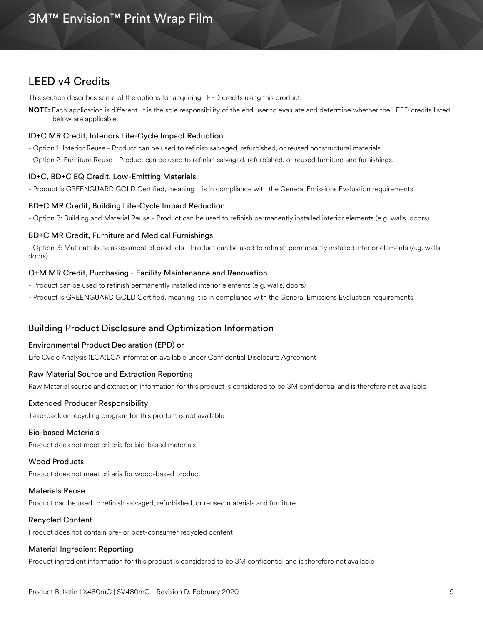# LEED v4 Credits

This section describes some of the options for acquiring LEED credits using this product.

**NOTE:** Each application is different. It is the sole responsibility of the end user to evaluate and determine whether the LEED credits listed below are applicable.

#### ID+C MR Credit, Interiors Life-Cycle Impact Reduction

- Option 1: Interior Reuse Product can be used to refinish salvaged, refurbished, or reused nonstructural materials.
- Option 2: Furniture Reuse Product can be used to refinish salvaged, refurbished, or reused furniture and furnishings.

#### ID+C, BD+C EQ Credit, Low-Emitting Materials

- Product is GREENGUARD GOLD Certified, meaning it is in compliance with the General Emissions Evaluation requirements

#### BD+C MR Credit, Building Life-Cycle Impact Reduction

- Option 3: Building and Material Reuse - Product can be used to refinish permanently installed interior elements (e.g. walls, doors).

#### BD+C MR Credit, Furniture and Medical Furnishings

- Option 3: Multi-attribute assessment of products - Product can be used to refinish permanently installed interior elements (e.g. walls, doors).

#### O+M MR Credit, Purchasing - Facility Maintenance and Renovation

- Product can be used to refinish permanently installed interior elements (e.g. walls, doors)
- Product is GREENGUARD GOLD Certified, meaning it is in compliance with the General Emissions Evaluation requirements

## Building Product Disclosure and Optimization Information

#### Environmental Product Declaration (EPD) or

Life Cycle Analysis (LCA)LCA information available under Confidential Disclosure Agreement

#### Raw Material Source and Extraction Reporting

Raw Material source and extraction information for this product is considered to be 3M confidential and is therefore not available

#### Extended Producer Responsibility

Take-back or recycling program for this product is not available

#### Bio-based Materials

Product does not meet criteria for bio-based materials

#### Wood Products

Product does not meet criteria for wood-based product

#### Materials Reuse

Product can be used to refinish salvaged, refurbished, or reused materials and furniture

#### Recycled Content

Product does not contain pre- or post-consumer recycled content

#### Material Ingredient Reporting

Product ingredient information for this product is considered to be 3M confidential and is therefore not available